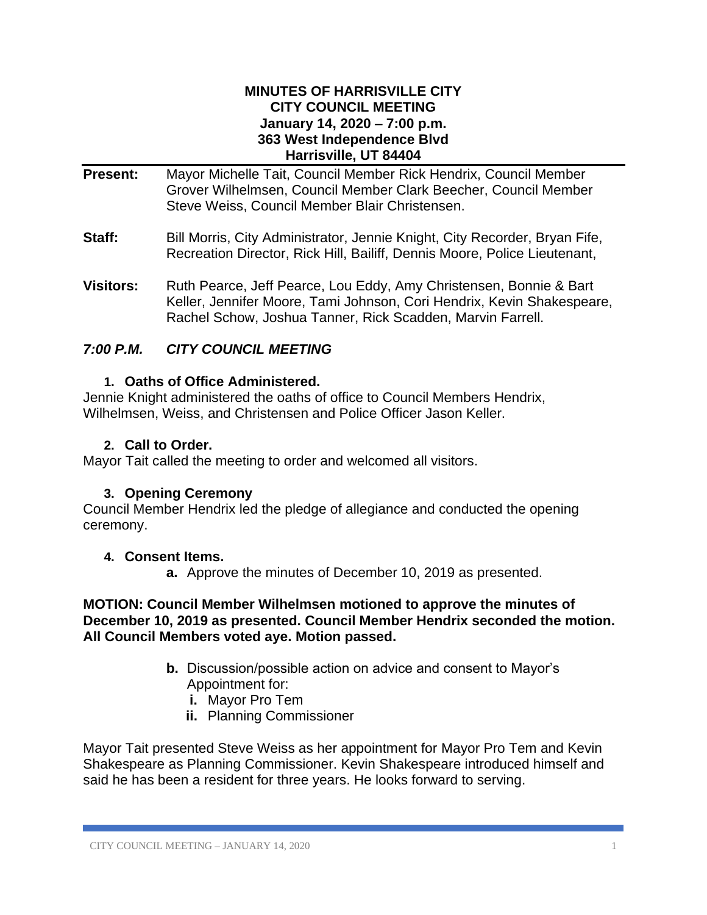#### **MINUTES OF HARRISVILLE CITY CITY COUNCIL MEETING January 14, 2020 – 7:00 p.m. 363 West Independence Blvd Harrisville, UT 84404**

- **Present:** Mayor Michelle Tait, Council Member Rick Hendrix, Council Member Grover Wilhelmsen, Council Member Clark Beecher, Council Member Steve Weiss, Council Member Blair Christensen.
- **Staff:** Bill Morris, City Administrator, Jennie Knight, City Recorder, Bryan Fife, Recreation Director, Rick Hill, Bailiff, Dennis Moore, Police Lieutenant,
- **Visitors:** Ruth Pearce, Jeff Pearce, Lou Eddy, Amy Christensen, Bonnie & Bart Keller, Jennifer Moore, Tami Johnson, Cori Hendrix, Kevin Shakespeare, Rachel Schow, Joshua Tanner, Rick Scadden, Marvin Farrell.

## *7:00 P.M. CITY COUNCIL MEETING*

#### **1. Oaths of Office Administered.**

Jennie Knight administered the oaths of office to Council Members Hendrix, Wilhelmsen, Weiss, and Christensen and Police Officer Jason Keller.

#### **2. Call to Order.**

Mayor Tait called the meeting to order and welcomed all visitors.

### **3. Opening Ceremony**

Council Member Hendrix led the pledge of allegiance and conducted the opening ceremony.

#### **4. Consent Items.**

**a.** Approve the minutes of December 10, 2019 as presented.

#### **MOTION: Council Member Wilhelmsen motioned to approve the minutes of December 10, 2019 as presented. Council Member Hendrix seconded the motion. All Council Members voted aye. Motion passed.**

- **b.** Discussion/possible action on advice and consent to Mayor's Appointment for:
	- **i.** Mayor Pro Tem
	- **ii.** Planning Commissioner

Mayor Tait presented Steve Weiss as her appointment for Mayor Pro Tem and Kevin Shakespeare as Planning Commissioner. Kevin Shakespeare introduced himself and said he has been a resident for three years. He looks forward to serving.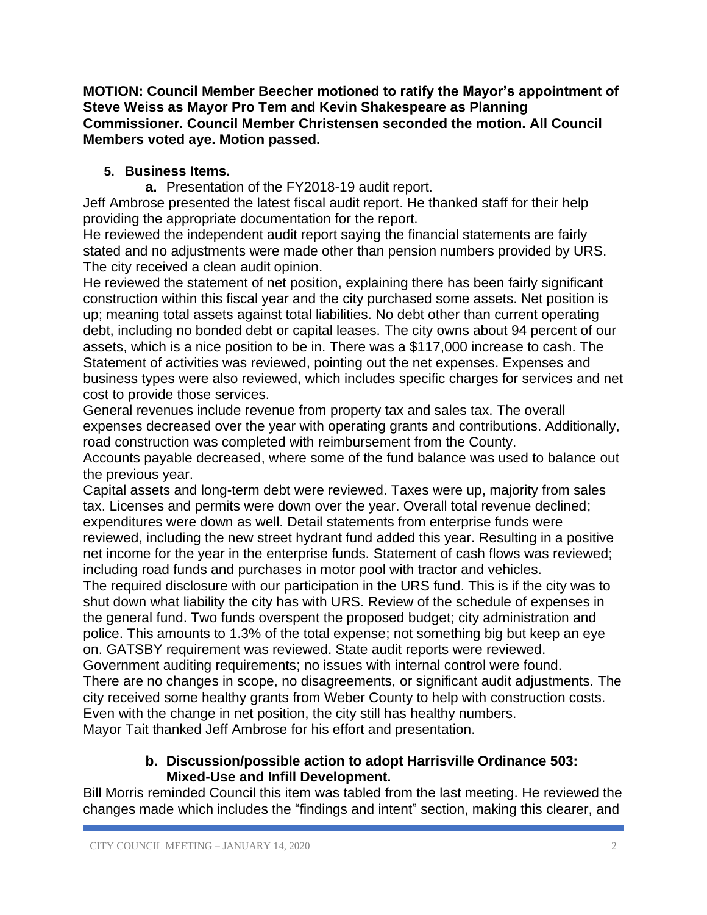**MOTION: Council Member Beecher motioned to ratify the Mayor's appointment of Steve Weiss as Mayor Pro Tem and Kevin Shakespeare as Planning Commissioner. Council Member Christensen seconded the motion. All Council Members voted aye. Motion passed.** 

# **5. Business Items.**

**a.** Presentation of the FY2018-19 audit report.

Jeff Ambrose presented the latest fiscal audit report. He thanked staff for their help providing the appropriate documentation for the report.

He reviewed the independent audit report saying the financial statements are fairly stated and no adjustments were made other than pension numbers provided by URS. The city received a clean audit opinion.

He reviewed the statement of net position, explaining there has been fairly significant construction within this fiscal year and the city purchased some assets. Net position is up; meaning total assets against total liabilities. No debt other than current operating debt, including no bonded debt or capital leases. The city owns about 94 percent of our assets, which is a nice position to be in. There was a \$117,000 increase to cash. The Statement of activities was reviewed, pointing out the net expenses. Expenses and business types were also reviewed, which includes specific charges for services and net cost to provide those services.

General revenues include revenue from property tax and sales tax. The overall expenses decreased over the year with operating grants and contributions. Additionally, road construction was completed with reimbursement from the County.

Accounts payable decreased, where some of the fund balance was used to balance out the previous year.

Capital assets and long-term debt were reviewed. Taxes were up, majority from sales tax. Licenses and permits were down over the year. Overall total revenue declined; expenditures were down as well. Detail statements from enterprise funds were reviewed, including the new street hydrant fund added this year. Resulting in a positive net income for the year in the enterprise funds. Statement of cash flows was reviewed; including road funds and purchases in motor pool with tractor and vehicles.

The required disclosure with our participation in the URS fund. This is if the city was to shut down what liability the city has with URS. Review of the schedule of expenses in the general fund. Two funds overspent the proposed budget; city administration and police. This amounts to 1.3% of the total expense; not something big but keep an eye on. GATSBY requirement was reviewed. State audit reports were reviewed.

Government auditing requirements; no issues with internal control were found. There are no changes in scope, no disagreements, or significant audit adjustments. The city received some healthy grants from Weber County to help with construction costs. Even with the change in net position, the city still has healthy numbers. Mayor Tait thanked Jeff Ambrose for his effort and presentation.

### **b. Discussion/possible action to adopt Harrisville Ordinance 503: Mixed-Use and Infill Development.**

Bill Morris reminded Council this item was tabled from the last meeting. He reviewed the changes made which includes the "findings and intent" section, making this clearer, and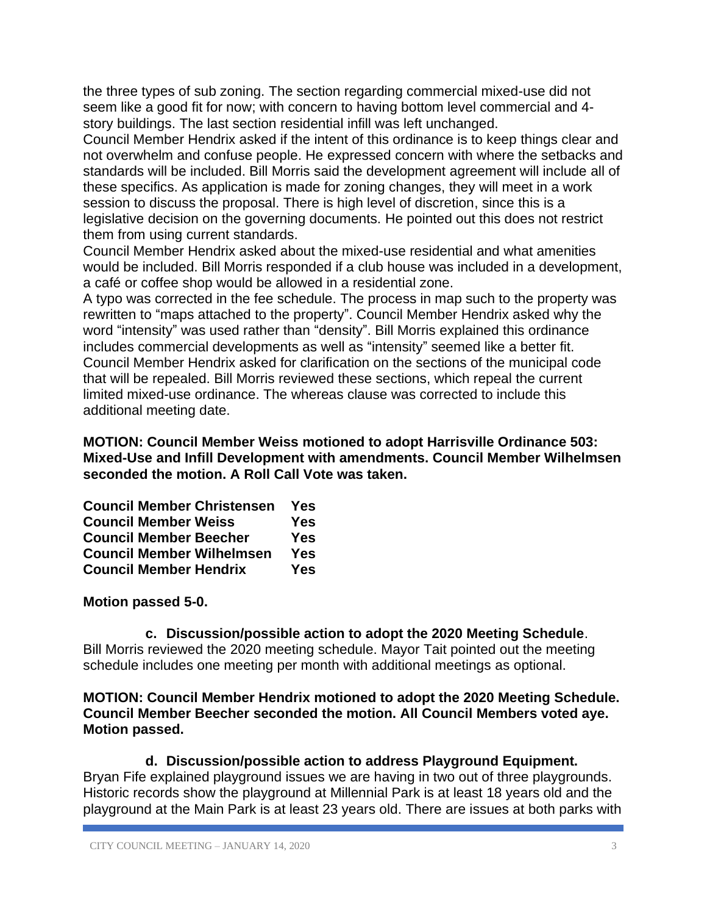the three types of sub zoning. The section regarding commercial mixed-use did not seem like a good fit for now; with concern to having bottom level commercial and 4 story buildings. The last section residential infill was left unchanged.

Council Member Hendrix asked if the intent of this ordinance is to keep things clear and not overwhelm and confuse people. He expressed concern with where the setbacks and standards will be included. Bill Morris said the development agreement will include all of these specifics. As application is made for zoning changes, they will meet in a work session to discuss the proposal. There is high level of discretion, since this is a legislative decision on the governing documents. He pointed out this does not restrict them from using current standards.

Council Member Hendrix asked about the mixed-use residential and what amenities would be included. Bill Morris responded if a club house was included in a development, a café or coffee shop would be allowed in a residential zone.

A typo was corrected in the fee schedule. The process in map such to the property was rewritten to "maps attached to the property". Council Member Hendrix asked why the word "intensity" was used rather than "density". Bill Morris explained this ordinance includes commercial developments as well as "intensity" seemed like a better fit. Council Member Hendrix asked for clarification on the sections of the municipal code that will be repealed. Bill Morris reviewed these sections, which repeal the current limited mixed-use ordinance. The whereas clause was corrected to include this additional meeting date.

**MOTION: Council Member Weiss motioned to adopt Harrisville Ordinance 503: Mixed-Use and Infill Development with amendments. Council Member Wilhelmsen seconded the motion. A Roll Call Vote was taken.**

| <b>Council Member Christensen</b> | Yes        |
|-----------------------------------|------------|
| <b>Council Member Weiss</b>       | <b>Yes</b> |
| <b>Council Member Beecher</b>     | <b>Yes</b> |
| <b>Council Member Wilhelmsen</b>  | <b>Yes</b> |
| <b>Council Member Hendrix</b>     | <b>Yes</b> |

### **Motion passed 5-0.**

**c. Discussion/possible action to adopt the 2020 Meeting Schedule**. Bill Morris reviewed the 2020 meeting schedule. Mayor Tait pointed out the meeting schedule includes one meeting per month with additional meetings as optional.

**MOTION: Council Member Hendrix motioned to adopt the 2020 Meeting Schedule. Council Member Beecher seconded the motion. All Council Members voted aye. Motion passed.**

**d. Discussion/possible action to address Playground Equipment.** Bryan Fife explained playground issues we are having in two out of three playgrounds. Historic records show the playground at Millennial Park is at least 18 years old and the playground at the Main Park is at least 23 years old. There are issues at both parks with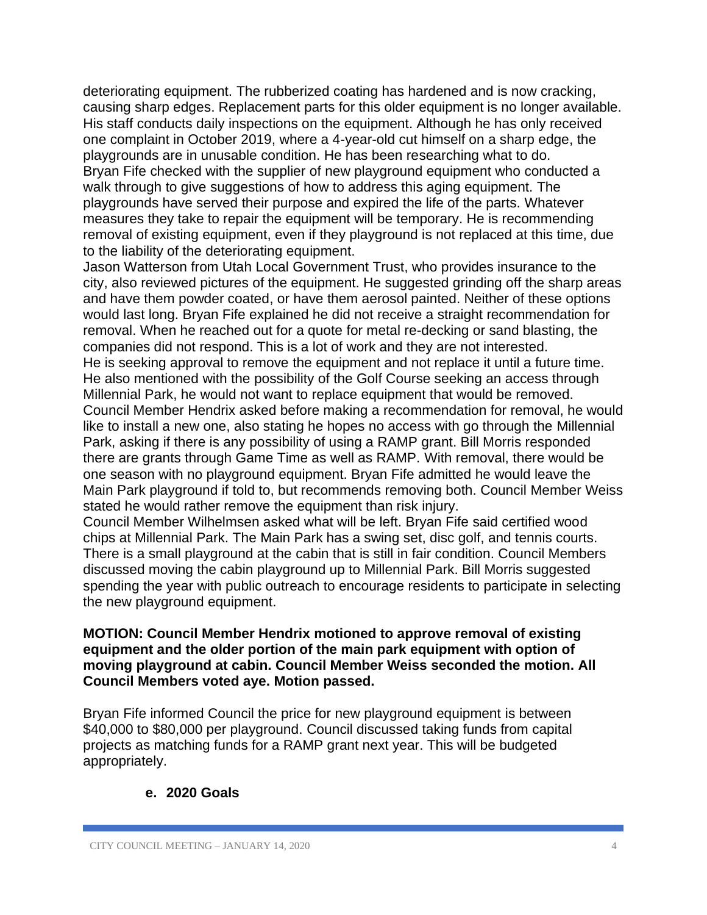deteriorating equipment. The rubberized coating has hardened and is now cracking, causing sharp edges. Replacement parts for this older equipment is no longer available. His staff conducts daily inspections on the equipment. Although he has only received one complaint in October 2019, where a 4-year-old cut himself on a sharp edge, the playgrounds are in unusable condition. He has been researching what to do. Bryan Fife checked with the supplier of new playground equipment who conducted a walk through to give suggestions of how to address this aging equipment. The playgrounds have served their purpose and expired the life of the parts. Whatever measures they take to repair the equipment will be temporary. He is recommending removal of existing equipment, even if they playground is not replaced at this time, due to the liability of the deteriorating equipment.

Jason Watterson from Utah Local Government Trust, who provides insurance to the city, also reviewed pictures of the equipment. He suggested grinding off the sharp areas and have them powder coated, or have them aerosol painted. Neither of these options would last long. Bryan Fife explained he did not receive a straight recommendation for removal. When he reached out for a quote for metal re-decking or sand blasting, the companies did not respond. This is a lot of work and they are not interested. He is seeking approval to remove the equipment and not replace it until a future time. He also mentioned with the possibility of the Golf Course seeking an access through Millennial Park, he would not want to replace equipment that would be removed. Council Member Hendrix asked before making a recommendation for removal, he would like to install a new one, also stating he hopes no access with go through the Millennial Park, asking if there is any possibility of using a RAMP grant. Bill Morris responded there are grants through Game Time as well as RAMP. With removal, there would be one season with no playground equipment. Bryan Fife admitted he would leave the Main Park playground if told to, but recommends removing both. Council Member Weiss stated he would rather remove the equipment than risk injury.

Council Member Wilhelmsen asked what will be left. Bryan Fife said certified wood chips at Millennial Park. The Main Park has a swing set, disc golf, and tennis courts. There is a small playground at the cabin that is still in fair condition. Council Members discussed moving the cabin playground up to Millennial Park. Bill Morris suggested spending the year with public outreach to encourage residents to participate in selecting the new playground equipment.

#### **MOTION: Council Member Hendrix motioned to approve removal of existing equipment and the older portion of the main park equipment with option of moving playground at cabin. Council Member Weiss seconded the motion. All Council Members voted aye. Motion passed.**

Bryan Fife informed Council the price for new playground equipment is between \$40,000 to \$80,000 per playground. Council discussed taking funds from capital projects as matching funds for a RAMP grant next year. This will be budgeted appropriately.

### **e. 2020 Goals**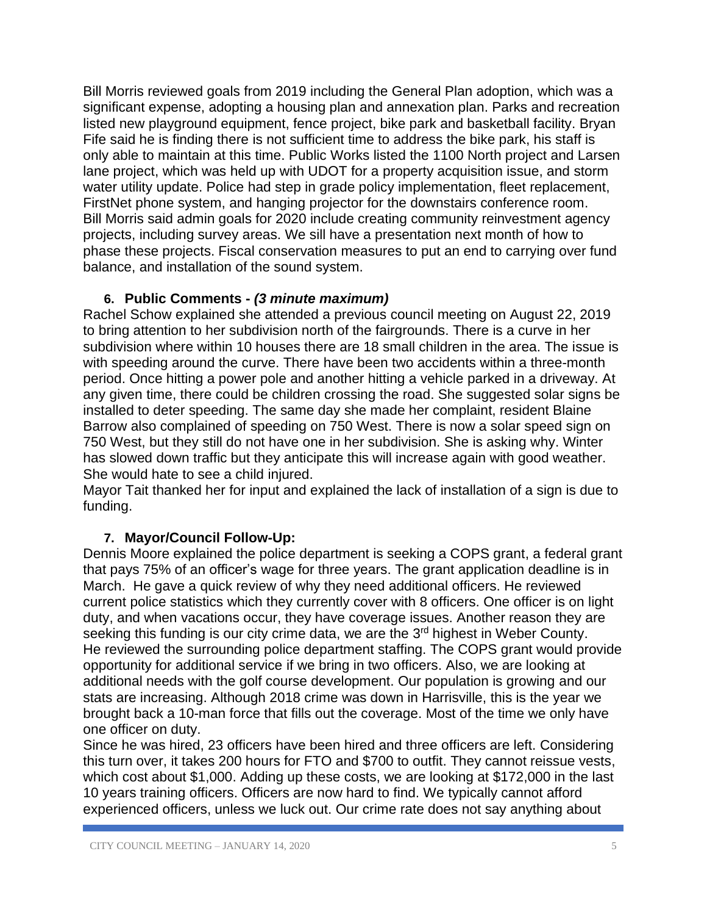Bill Morris reviewed goals from 2019 including the General Plan adoption, which was a significant expense, adopting a housing plan and annexation plan. Parks and recreation listed new playground equipment, fence project, bike park and basketball facility. Bryan Fife said he is finding there is not sufficient time to address the bike park, his staff is only able to maintain at this time. Public Works listed the 1100 North project and Larsen lane project, which was held up with UDOT for a property acquisition issue, and storm water utility update. Police had step in grade policy implementation, fleet replacement, FirstNet phone system, and hanging projector for the downstairs conference room. Bill Morris said admin goals for 2020 include creating community reinvestment agency projects, including survey areas. We sill have a presentation next month of how to phase these projects. Fiscal conservation measures to put an end to carrying over fund balance, and installation of the sound system.

# **6. Public Comments -** *(3 minute maximum)*

Rachel Schow explained she attended a previous council meeting on August 22, 2019 to bring attention to her subdivision north of the fairgrounds. There is a curve in her subdivision where within 10 houses there are 18 small children in the area. The issue is with speeding around the curve. There have been two accidents within a three-month period. Once hitting a power pole and another hitting a vehicle parked in a driveway. At any given time, there could be children crossing the road. She suggested solar signs be installed to deter speeding. The same day she made her complaint, resident Blaine Barrow also complained of speeding on 750 West. There is now a solar speed sign on 750 West, but they still do not have one in her subdivision. She is asking why. Winter has slowed down traffic but they anticipate this will increase again with good weather. She would hate to see a child injured.

Mayor Tait thanked her for input and explained the lack of installation of a sign is due to funding.

# **7. Mayor/Council Follow-Up:**

Dennis Moore explained the police department is seeking a COPS grant, a federal grant that pays 75% of an officer's wage for three years. The grant application deadline is in March. He gave a quick review of why they need additional officers. He reviewed current police statistics which they currently cover with 8 officers. One officer is on light duty, and when vacations occur, they have coverage issues. Another reason they are seeking this funding is our city crime data, we are the 3<sup>rd</sup> highest in Weber County. He reviewed the surrounding police department staffing. The COPS grant would provide opportunity for additional service if we bring in two officers. Also, we are looking at additional needs with the golf course development. Our population is growing and our stats are increasing. Although 2018 crime was down in Harrisville, this is the year we brought back a 10-man force that fills out the coverage. Most of the time we only have one officer on duty.

Since he was hired, 23 officers have been hired and three officers are left. Considering this turn over, it takes 200 hours for FTO and \$700 to outfit. They cannot reissue vests, which cost about \$1,000. Adding up these costs, we are looking at \$172,000 in the last 10 years training officers. Officers are now hard to find. We typically cannot afford experienced officers, unless we luck out. Our crime rate does not say anything about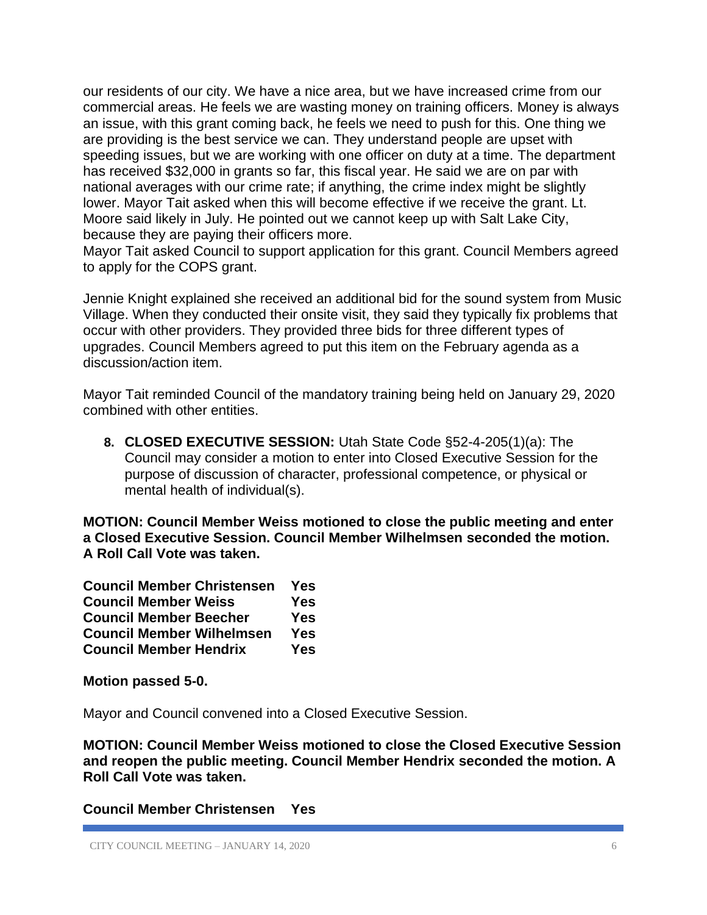our residents of our city. We have a nice area, but we have increased crime from our commercial areas. He feels we are wasting money on training officers. Money is always an issue, with this grant coming back, he feels we need to push for this. One thing we are providing is the best service we can. They understand people are upset with speeding issues, but we are working with one officer on duty at a time. The department has received \$32,000 in grants so far, this fiscal year. He said we are on par with national averages with our crime rate; if anything, the crime index might be slightly lower. Mayor Tait asked when this will become effective if we receive the grant. Lt. Moore said likely in July. He pointed out we cannot keep up with Salt Lake City, because they are paying their officers more.

Mayor Tait asked Council to support application for this grant. Council Members agreed to apply for the COPS grant.

Jennie Knight explained she received an additional bid for the sound system from Music Village. When they conducted their onsite visit, they said they typically fix problems that occur with other providers. They provided three bids for three different types of upgrades. Council Members agreed to put this item on the February agenda as a discussion/action item.

Mayor Tait reminded Council of the mandatory training being held on January 29, 2020 combined with other entities.

**8. CLOSED EXECUTIVE SESSION:** Utah State Code §52-4-205(1)(a): The Council may consider a motion to enter into Closed Executive Session for the purpose of discussion of character, professional competence, or physical or mental health of individual(s).

**MOTION: Council Member Weiss motioned to close the public meeting and enter a Closed Executive Session. Council Member Wilhelmsen seconded the motion. A Roll Call Vote was taken.**

| <b>Council Member Christensen</b> | Yes        |
|-----------------------------------|------------|
| <b>Council Member Weiss</b>       | <b>Yes</b> |
| <b>Council Member Beecher</b>     | <b>Yes</b> |
| <b>Council Member Wilhelmsen</b>  | <b>Yes</b> |
| <b>Council Member Hendrix</b>     | <b>Yes</b> |

**Motion passed 5-0.**

Mayor and Council convened into a Closed Executive Session.

**MOTION: Council Member Weiss motioned to close the Closed Executive Session and reopen the public meeting. Council Member Hendrix seconded the motion. A Roll Call Vote was taken.**

**Council Member Christensen Yes**